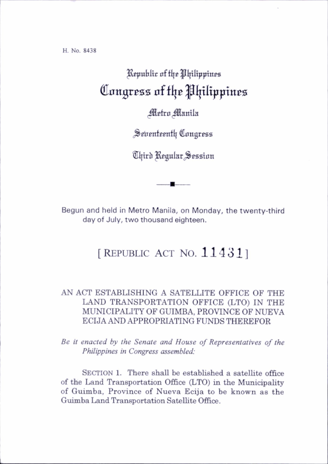H. No. 8438

## Republic of the Philippines Congress of the Philippines

## Metro Manila

Seventeenth Congress

®l|irb KEgular^Seaston

Begun and held in Metro Manila, on Monday, the twenty-third day of July, two thousand eighteen.

## [REPUBLIC ACT NO.  $114311$ ]

## AN ACT ESTABLISHING A SATELLITE OFFICE OF THE LAND TRANSPORTATION OFFICE (LTO) IN THE MUNICIPALITY OF GUIMBA, PROVINCE OF NUEVA ECIJA AND APPROPRIATING FUNDS THEREFOR

Be it enacted by the Senate and House of Representatives of the Philippines in Congress assembled:

SECTION 1. There shall be established a satellite office of the Land Transportation Office (LTO) in the Municipahty of Guimba, Province of Nueva Ecija to be known as the Guimba Land Transportation SateUite Office.